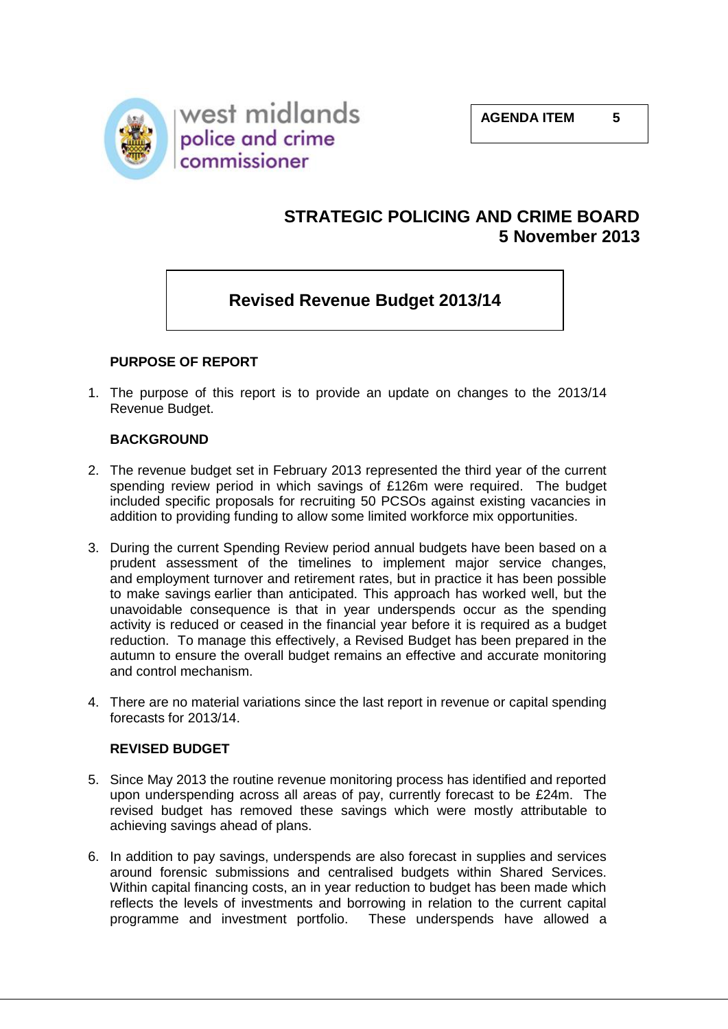

## **STRATEGIC POLICING AND CRIME BOARD 5 November 2013**

## **Revised Revenue Budget 2013/14**

### **PURPOSE OF REPORT**

1. The purpose of this report is to provide an update on changes to the 2013/14 Revenue Budget.

#### **BACKGROUND**

- 2. The revenue budget set in February 2013 represented the third year of the current spending review period in which savings of £126m were required. The budget included specific proposals for recruiting 50 PCSOs against existing vacancies in addition to providing funding to allow some limited workforce mix opportunities.
- 3. During the current Spending Review period annual budgets have been based on a prudent assessment of the timelines to implement major service changes, and employment turnover and retirement rates, but in practice it has been possible to make savings earlier than anticipated. This approach has worked well, but the unavoidable consequence is that in year underspends occur as the spending activity is reduced or ceased in the financial year before it is required as a budget reduction. To manage this effectively, a Revised Budget has been prepared in the autumn to ensure the overall budget remains an effective and accurate monitoring and control mechanism.
- 4. There are no material variations since the last report in revenue or capital spending forecasts for 2013/14.

#### **REVISED BUDGET**

- 5. Since May 2013 the routine revenue monitoring process has identified and reported upon underspending across all areas of pay, currently forecast to be £24m. The revised budget has removed these savings which were mostly attributable to achieving savings ahead of plans.
- 6. In addition to pay savings, underspends are also forecast in supplies and services around forensic submissions and centralised budgets within Shared Services. Within capital financing costs, an in year reduction to budget has been made which reflects the levels of investments and borrowing in relation to the current capital programme and investment portfolio. These underspends have allowed a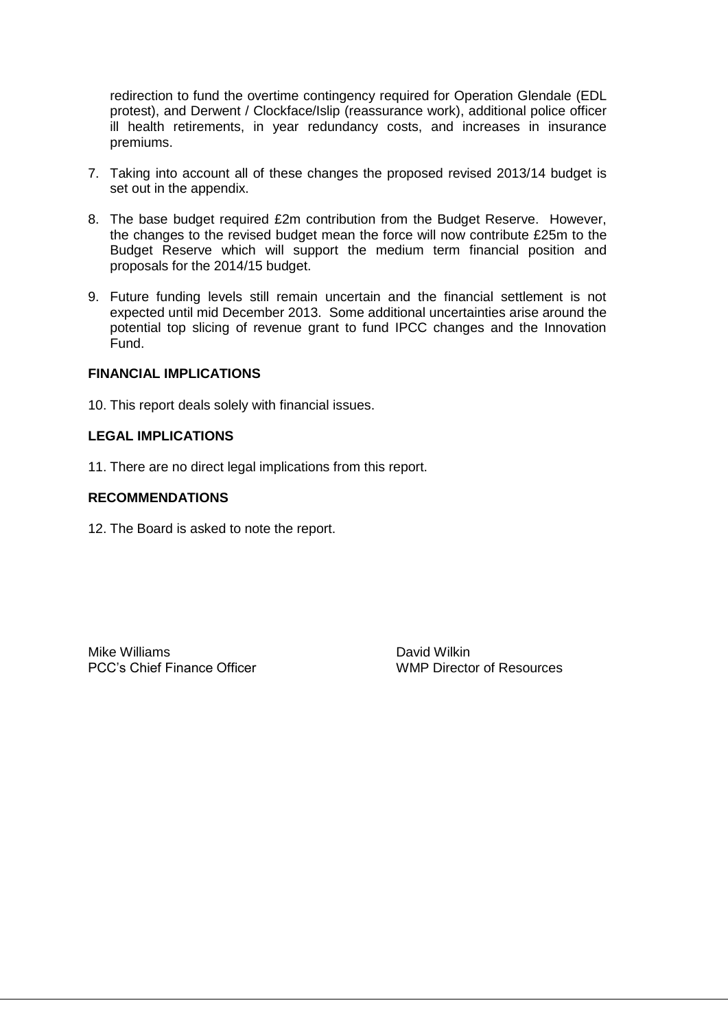redirection to fund the overtime contingency required for Operation Glendale (EDL protest), and Derwent / Clockface/Islip (reassurance work), additional police officer ill health retirements, in year redundancy costs, and increases in insurance premiums.

- 7. Taking into account all of these changes the proposed revised 2013/14 budget is set out in the appendix.
- 8. The base budget required £2m contribution from the Budget Reserve. However, the changes to the revised budget mean the force will now contribute £25m to the Budget Reserve which will support the medium term financial position and proposals for the 2014/15 budget.
- 9. Future funding levels still remain uncertain and the financial settlement is not expected until mid December 2013. Some additional uncertainties arise around the potential top slicing of revenue grant to fund IPCC changes and the Innovation Fund.

#### **FINANCIAL IMPLICATIONS**

10. This report deals solely with financial issues.

#### **LEGAL IMPLICATIONS**

11. There are no direct legal implications from this report.

#### **RECOMMENDATIONS**

12. The Board is asked to note the report.

Mike Williams **David Wilkin** PCC's Chief Finance Officer Network Controllery MMP Director of Resources